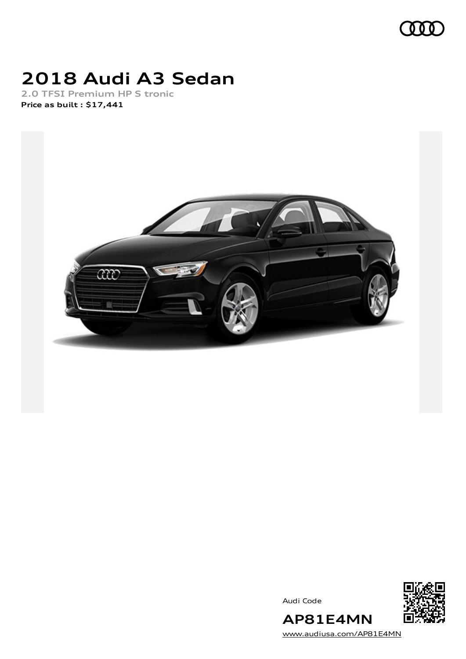

## **2018 Audi A3 Sedan**

**2.0 TFSI Premium HP S tronic Price as built [:](#page-10-0) \$17,441**



Audi Code



[www.audiusa.com/AP81E4MN](https://www.audiusa.com/AP81E4MN)

**AP81E4MN**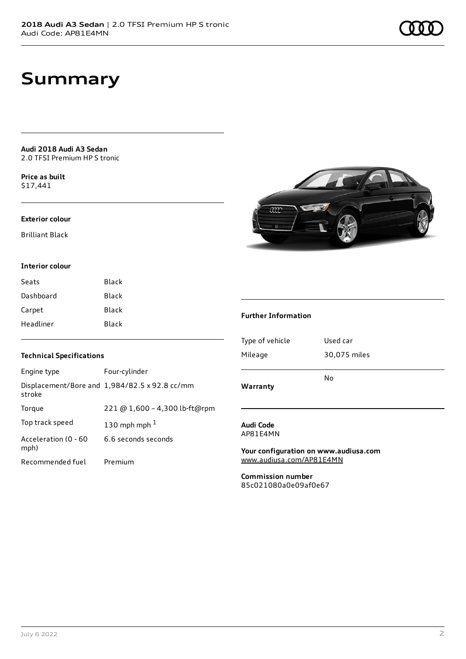### **Summary**

**Audi 2018 Audi A3 Sedan** 2.0 TFSI Premium HP S tronic

**Price as buil[t](#page-10-0)** \$17,441

#### **Exterior colour**

Brilliant Black

#### **Interior colour**

| Seats     | Black |
|-----------|-------|
| Dashboard | Black |
| Carpet    | Black |
| Headliner | Black |



### **Further Information**

| <b>Technical Specifications</b> |                                               |  |
|---------------------------------|-----------------------------------------------|--|
| Engine type                     | Four-cylinder                                 |  |
| stroke                          | Displacement/Bore and 1,984/82.5 x 92.8 cc/mm |  |
| Torque                          | 221 @ 1,600 - 4,300 lb-ft@rpm                 |  |
| Top track speed                 | 130 mph mph $1$                               |  |
| Acceleration (0 - 60<br>mph)    | 6.6 seconds seconds                           |  |
| Recommended fuel                | Premium                                       |  |

| Warranty        |              |
|-----------------|--------------|
|                 | N٥           |
| Mileage         | 30,075 miles |
| Type of vehicle | Used car     |

#### **Audi Code** AP81E4MN

**Your configuration on www.audiusa.com** [www.audiusa.com/AP81E4MN](https://www.audiusa.com/AP81E4MN)

**Commission number** 85c021080a0e09af0e67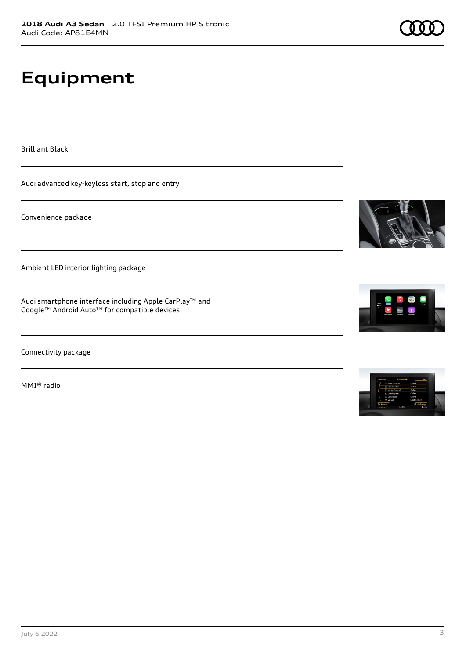# **Equipment**

Brilliant Black

Audi advanced key-keyless start, stop and entry

Convenience package

Ambient LED interior lighting package

Audi smartphone interface including Apple CarPlay™ and Google™ Android Auto™ for compatible devices

Connectivity package

MMI® radio







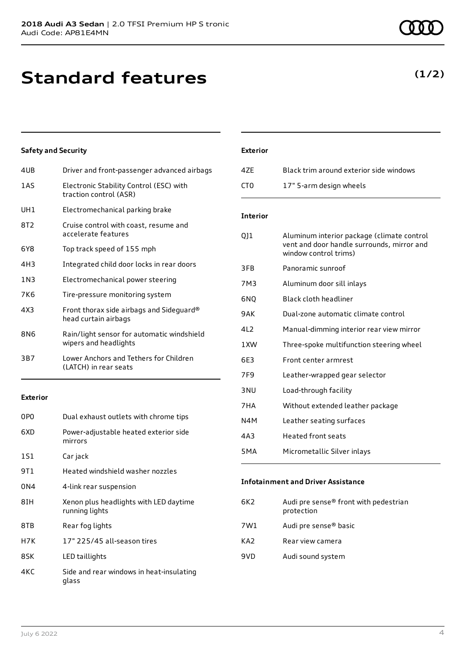## **Standard features**

### **Safety and Security**

| 4UB   | Driver and front-passenger advanced airbags                         |
|-------|---------------------------------------------------------------------|
| 1AS   | Electronic Stability Control (ESC) with<br>traction control (ASR)   |
| UH1   | Electromechanical parking brake                                     |
| 8T2   | Cruise control with coast, resume and<br>accelerate features        |
| 6Y8   | Top track speed of 155 mph                                          |
| 4H3   | Integrated child door locks in rear doors                           |
| 1 N 3 | Electromechanical power steering                                    |
| 7K6   | Tire-pressure monitoring system                                     |
| 4X3   | Front thorax side airbags and Sideguard®<br>head curtain airbags    |
| 8N6   | Rain/light sensor for automatic windshield<br>wipers and headlights |
| 3B7   | Lower Anchors and Tethers for Children<br>(LATCH) in rear seats     |
|       |                                                                     |

### **Exterior**

| 0P <sub>0</sub> | Dual exhaust outlets with chrome tips                    |
|-----------------|----------------------------------------------------------|
| 6XD             | Power-adjustable heated exterior side<br>mirrors         |
| 1S1             | Car jack                                                 |
| 9T1             | Heated windshield washer nozzles                         |
| 0N4             | 4-link rear suspension                                   |
| 8IH             | Xenon plus headlights with LED daytime<br>running lights |
| 8TB             | Rear fog lights                                          |
| H7K             | 17" 225/45 all-season tires                              |
| 8SK             | LED taillights                                           |
| 4KC             | Side and rear windows in heat-insulating<br>glass        |

### **Exterior**

| 47F | Black trim around exterior side windows |
|-----|-----------------------------------------|
| CT0 | 17" 5-arm design wheels                 |

### **Interior**

| QJ1              | Aluminum interior package (climate control<br>vent and door handle surrounds, mirror and<br>window control trims) |
|------------------|-------------------------------------------------------------------------------------------------------------------|
| 3FB              | Panoramic sunroof                                                                                                 |
| 7M3              | Aluminum door sill inlays                                                                                         |
| 6NO              | Black cloth headliner                                                                                             |
| 9 A K            | Dual-zone automatic climate control                                                                               |
| 412              | Manual-dimming interior rear view mirror                                                                          |
| 1 XW             | Three-spoke multifunction steering wheel                                                                          |
| 6E3              | Front center armrest                                                                                              |
| 7F9              | Leather-wrapped gear selector                                                                                     |
| 3 NU             | Load-through facility                                                                                             |
| 7HA              | Without extended leather package                                                                                  |
| N4M              | Leather seating surfaces                                                                                          |
| 4A3              | <b>Heated front seats</b>                                                                                         |
| 5 <sub>M</sub> A | Micrometallic Silver inlays                                                                                       |
|                  |                                                                                                                   |

### **Infotainment and Driver Assistance**

| Audi pre sense® front with pedestrian<br>protection |
|-----------------------------------------------------|
| Audi pre sense® basic                               |
| Rear view camera                                    |
| Audi sound system                                   |
|                                                     |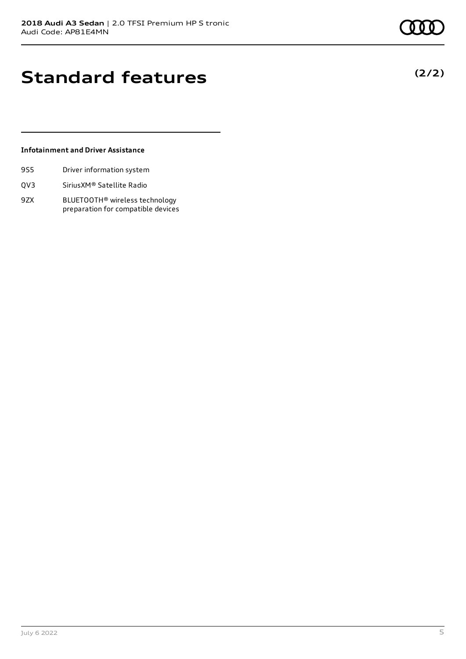**(2/2)**

### **Standard features**

### **Infotainment and Driver Assistance**

- 9S5 Driver information system
- QV3 SiriusXM® Satellite Radio
- 9ZX BLUETOOTH® wireless technology preparation for compatible devices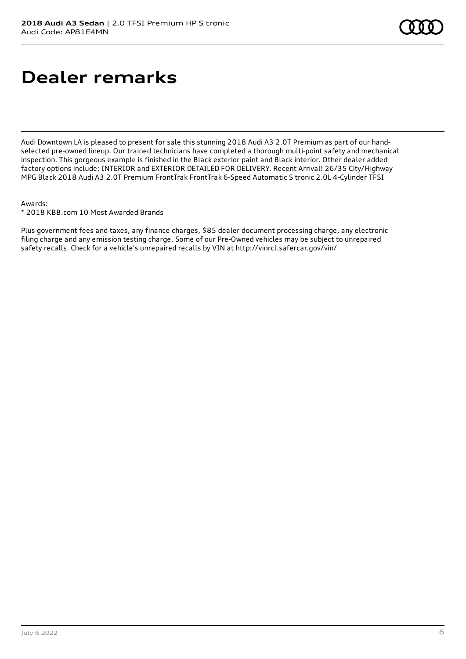### **Dealer remarks**

Audi Downtown LA is pleased to present for sale this stunning 2018 Audi A3 2.0T Premium as part of our handselected pre-owned lineup. Our trained technicians have completed a thorough multi-point safety and mechanical inspection. This gorgeous example is finished in the Black exterior paint and Black interior. Other dealer added factory options include: INTERIOR and EXTERIOR DETAILED FOR DELIVERY. Recent Arrival! 26/35 City/Highway MPG Black 2018 Audi A3 2.0T Premium FrontTrak FrontTrak 6-Speed Automatic S tronic 2.0L 4-Cylinder TFSI

#### Awards:

\* 2018 KBB.com 10 Most Awarded Brands

Plus government fees and taxes, any finance charges, \$85 dealer document processing charge, any electronic filing charge and any emission testing charge. Some of our Pre-Owned vehicles may be subject to unrepaired safety recalls. Check for a vehicle's unrepaired recalls by VIN at http://vinrcl.safercar.gov/vin/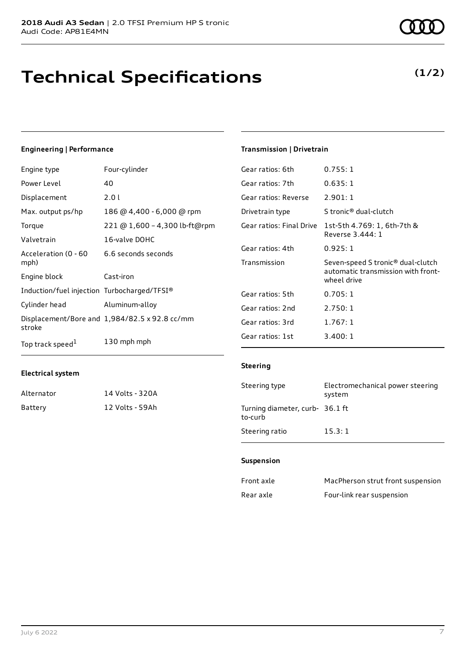### **Technical Specifications**

### **Engineering | Performance**

| Engine type                                 | Four-cylinder                                 | Gear ratios: 6th         | 0.755:1                                           |
|---------------------------------------------|-----------------------------------------------|--------------------------|---------------------------------------------------|
| Power Level                                 | 40                                            | Gear ratios: 7th         | 0.635:1                                           |
| Displacement                                | 2.01                                          | Gear ratios: Reverse     | 2.901:1                                           |
| Max. output ps/hp                           | 186 @ 4,400 - 6,000 @ rpm                     | Drivetrain type          | S tronic <sup>®</sup> dual-clutch                 |
| Torque                                      | 221 @ 1,600 - 4,300 lb-ft@rpm                 | Gear ratios: Final Drive | 1st-5th 4.769: 1, 6th-7th &                       |
| Valvetrain                                  | 16-valve DOHC                                 |                          | Reverse 3.444: 1                                  |
| Acceleration (0 - 60                        | 6.6 seconds seconds                           | Gear ratios: 4th         | 0.925:1                                           |
| mph)                                        |                                               | Transmission             | Seven-speed S tronic <sup>®</sup> dual-clutch     |
| Engine block                                | Cast-iron                                     |                          | automatic transmission with front-<br>wheel drive |
| Induction/fuel injection Turbocharged/TFSI® |                                               | Gear ratios: 5th         | 0.705:1                                           |
| Cylinder head                               | Aluminum-alloy                                | Gear ratios: 2nd         | 2.750:1                                           |
| stroke                                      | Displacement/Bore and 1,984/82.5 x 92.8 cc/mm | Gear ratios: 3rd         | 1.767:1                                           |
| Top track speed <sup>1</sup>                | 130 mph mph                                   | Gear ratios: 1st         | 3.400:1                                           |

#### **Electrical system**

| Alternator | 14 Volts - 320A |
|------------|-----------------|
| Battery    | 12 Volts - 59Ah |

### **(1/2)**

#### **Steering**

**Transmission | Drivetrain**

| Steering type                              | Electromechanical power steering<br>system |
|--------------------------------------------|--------------------------------------------|
| Turning diameter, curb- 36.1 ft<br>to-curb |                                            |
| Steering ratio                             | 15.3:1                                     |

#### **Suspension**

| Front axle | MacPherson strut front suspension |
|------------|-----------------------------------|
| Rear axle  | Four-link rear suspension         |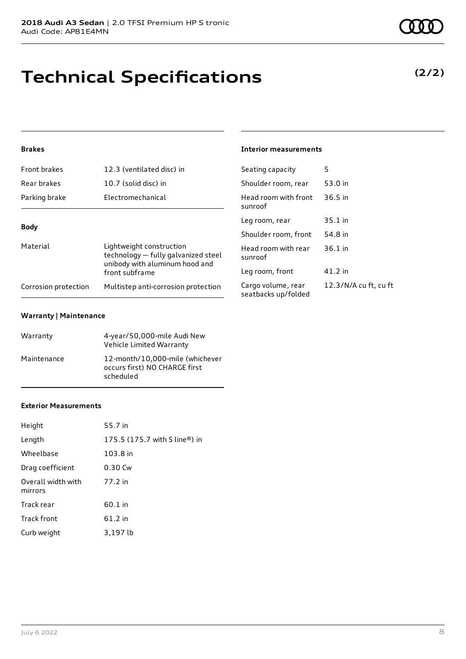# **Technical Specifications**

### **Brakes**

| <b>Front brakes</b>  | 12.3 (ventilated disc) in                                                                                           | Seating capacity                       |
|----------------------|---------------------------------------------------------------------------------------------------------------------|----------------------------------------|
| Rear brakes          | 10.7 (solid disc) in                                                                                                | Shoulder room, re                      |
| Parking brake        | Electromechanical                                                                                                   | Head room with fi<br>sunroof           |
|                      |                                                                                                                     | Leg room, rear                         |
| <b>Body</b>          |                                                                                                                     | Shoulder room, fr                      |
| Material             | Lightweight construction<br>technology – fully galvanized steel<br>unibody with aluminum hood and<br>front subframe | Head room with re<br>sunroof           |
|                      |                                                                                                                     | Leg room, front                        |
| Corrosion protection | Multistep anti-corrosion protection                                                                                 | Cargo volume, rea<br>seatbacks un/fold |

#### **Warranty | Maintenance**

| Warranty    | 4-year/50,000-mile Audi New<br>Vehicle Limited Warranty                       |
|-------------|-------------------------------------------------------------------------------|
| Maintenance | 12-month/10,000-mile (whichever<br>occurs first) NO CHARGE first<br>scheduled |

### **Exterior Measurements**

| Height                        | 55.7 in                       |
|-------------------------------|-------------------------------|
| Length                        | 175.5 (175.7 with S line®) in |
| Wheelbase                     | 103.8 in                      |
| Drag coefficient              | 0.30 Cw                       |
| Overall width with<br>mirrors | 77.2 in                       |
| Track rear                    | 60.1 in                       |
| Track front                   | 61.2 in                       |
| Curb weight                   | 3,197 lb                      |

### **Interior measurements**

| Seating capacity                          | 5                     |
|-------------------------------------------|-----------------------|
| Shoulder room, rear                       | 53.0 in               |
| Head room with front<br>sunroof           | $36.5$ in             |
| Leg room, rear                            | 35.1 in               |
| Shoulder room, front                      | 54.8 in               |
| Head room with rear<br>sunroof            | $36.1$ in             |
| Leg room, front                           | 41.2 in               |
| Cargo volume, rear<br>seatbacks up/folded | 12.3/N/A cu ft, cu ft |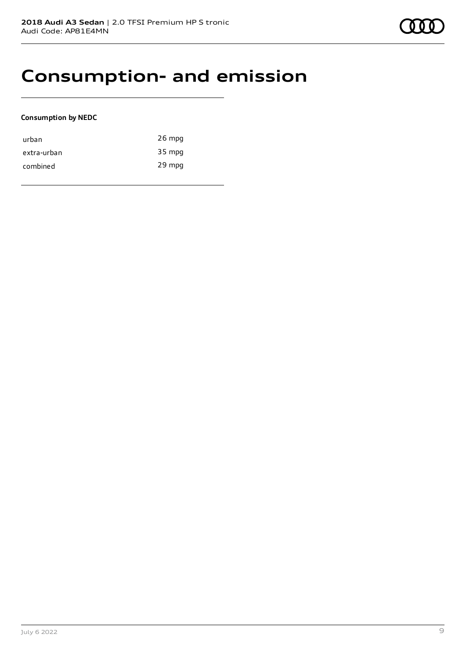### **Consumption- and emission**

### **Consumption by NEDC**

| urban       | $26$ mpg |
|-------------|----------|
| extra-urban | 35 mpg   |
| combined    | 29 mpg   |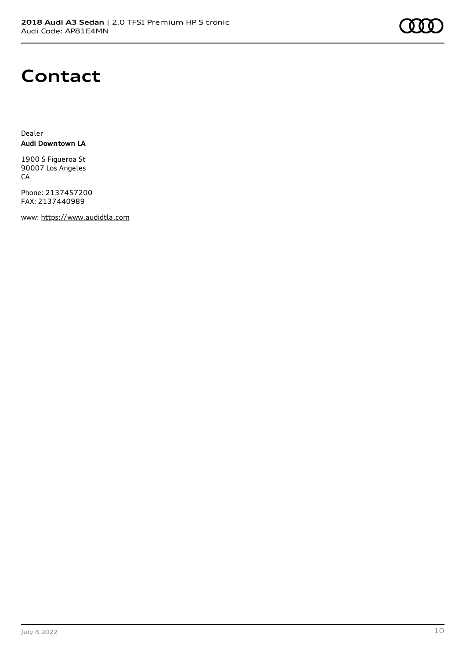### **Contact**

Dealer **Audi Downtown LA**

1900 S Figueroa St 90007 Los Angeles CA

Phone: 2137457200 FAX: 2137440989

www: [https://www.audidtla.com](https://www.audidtla.com/)